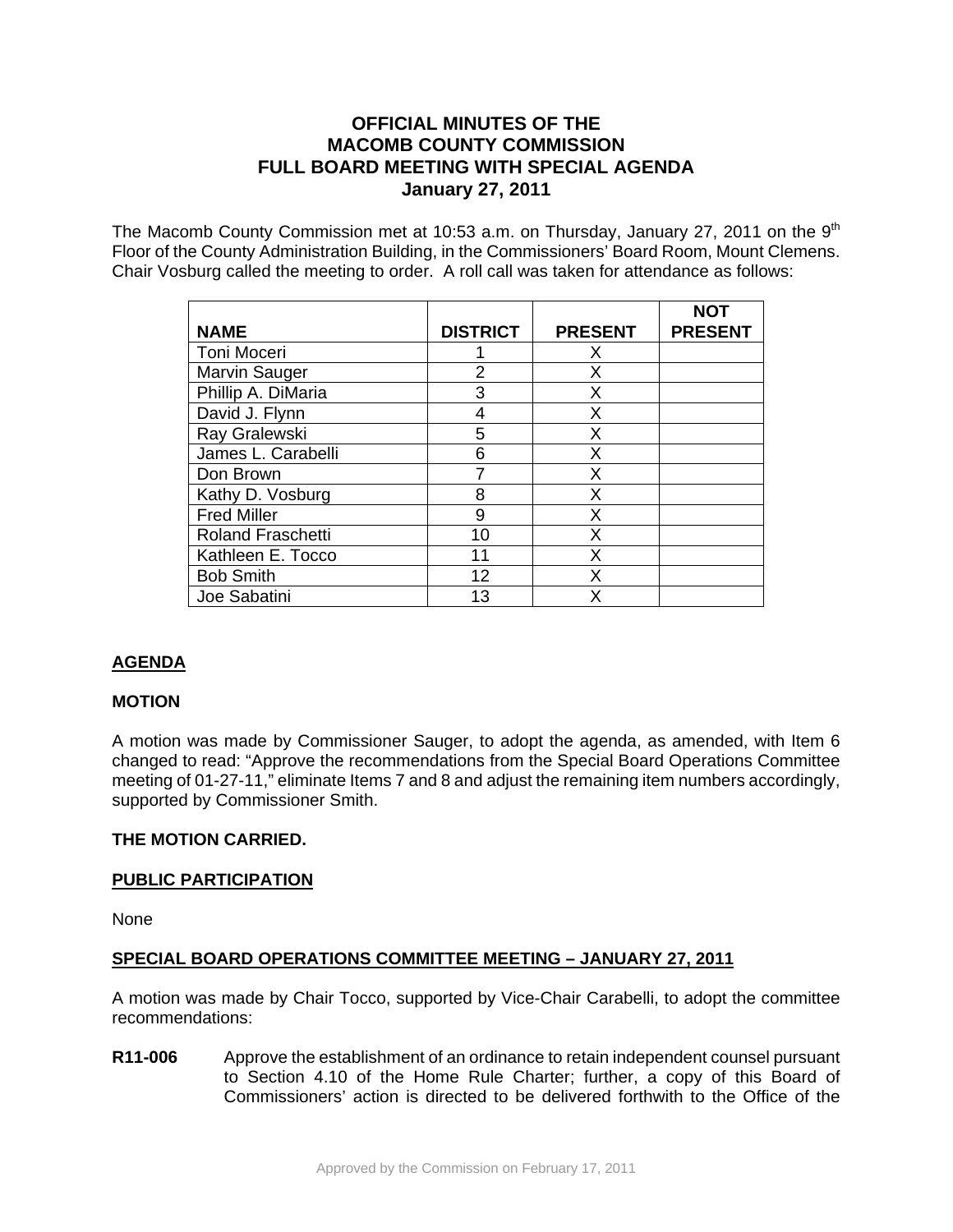# **OFFICIAL MINUTES OF THE MACOMB COUNTY COMMISSION FULL BOARD MEETING WITH SPECIAL AGENDA January 27, 2011**

The Macomb County Commission met at 10:53 a.m. on Thursday, January 27, 2011 on the  $9<sup>th</sup>$ Floor of the County Administration Building, in the Commissioners' Board Room, Mount Clemens. Chair Vosburg called the meeting to order. A roll call was taken for attendance as follows:

|                          |                 |                | <b>NOT</b>     |
|--------------------------|-----------------|----------------|----------------|
| <b>NAME</b>              | <b>DISTRICT</b> | <b>PRESENT</b> | <b>PRESENT</b> |
| Toni Moceri              |                 | X              |                |
| <b>Marvin Sauger</b>     | $\overline{2}$  | X              |                |
| Phillip A. DiMaria       | 3               | X              |                |
| David J. Flynn           | 4               | X              |                |
| Ray Gralewski            | 5               | X              |                |
| James L. Carabelli       | 6               | Х              |                |
| Don Brown                |                 | X              |                |
| Kathy D. Vosburg         | 8               | X              |                |
| <b>Fred Miller</b>       | 9               | Χ              |                |
| <b>Roland Fraschetti</b> | 10              | Χ              |                |
| Kathleen E. Tocco        | 11              | x              |                |
| <b>Bob Smith</b>         | 12              | x              |                |
| Joe Sabatini             | 13              | x              |                |

# **AGENDA**

## **MOTION**

A motion was made by Commissioner Sauger, to adopt the agenda, as amended, with Item 6 changed to read: "Approve the recommendations from the Special Board Operations Committee meeting of 01-27-11," eliminate Items 7 and 8 and adjust the remaining item numbers accordingly, supported by Commissioner Smith.

## **THE MOTION CARRIED.**

#### **PUBLIC PARTICIPATION**

None

## **SPECIAL BOARD OPERATIONS COMMITTEE MEETING – JANUARY 27, 2011**

A motion was made by Chair Tocco, supported by Vice-Chair Carabelli, to adopt the committee recommendations:

**R11-006** Approve the establishment of an ordinance to retain independent counsel pursuant to Section 4.10 of the Home Rule Charter; further, a copy of this Board of Commissioners' action is directed to be delivered forthwith to the Office of the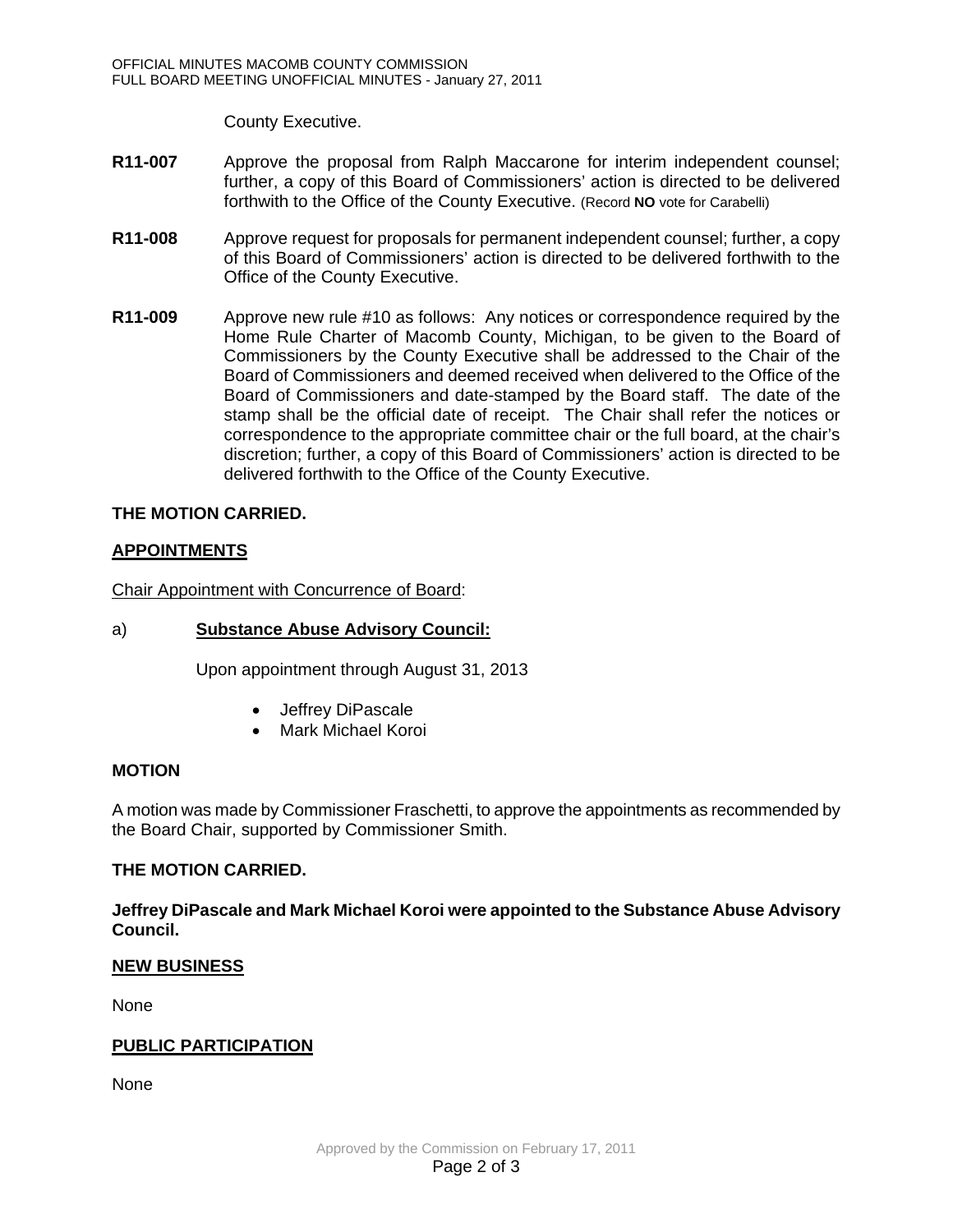County Executive.

- **R11-007** Approve the proposal from Ralph Maccarone for interim independent counsel; further, a copy of this Board of Commissioners' action is directed to be delivered forthwith to the Office of the County Executive. (Record **NO** vote for Carabelli)
- **R11-008** Approve request for proposals for permanent independent counsel; further, a copy of this Board of Commissioners' action is directed to be delivered forthwith to the Office of the County Executive.
- **R11-009** Approve new rule #10 as follows: Any notices or correspondence required by the Home Rule Charter of Macomb County, Michigan, to be given to the Board of Commissioners by the County Executive shall be addressed to the Chair of the Board of Commissioners and deemed received when delivered to the Office of the Board of Commissioners and date-stamped by the Board staff. The date of the stamp shall be the official date of receipt. The Chair shall refer the notices or correspondence to the appropriate committee chair or the full board, at the chair's discretion; further, a copy of this Board of Commissioners' action is directed to be delivered forthwith to the Office of the County Executive.

### **THE MOTION CARRIED.**

### **APPOINTMENTS**

Chair Appointment with Concurrence of Board:

#### a) **Substance Abuse Advisory Council:**

Upon appointment through August 31, 2013

- Jeffrey DiPascale
- Mark Michael Koroi

#### **MOTION**

A motion was made by Commissioner Fraschetti, to approve the appointments as recommended by the Board Chair, supported by Commissioner Smith.

#### **THE MOTION CARRIED.**

**Jeffrey DiPascale and Mark Michael Koroi were appointed to the Substance Abuse Advisory Council.** 

#### **NEW BUSINESS**

None

#### **PUBLIC PARTICIPATION**

None